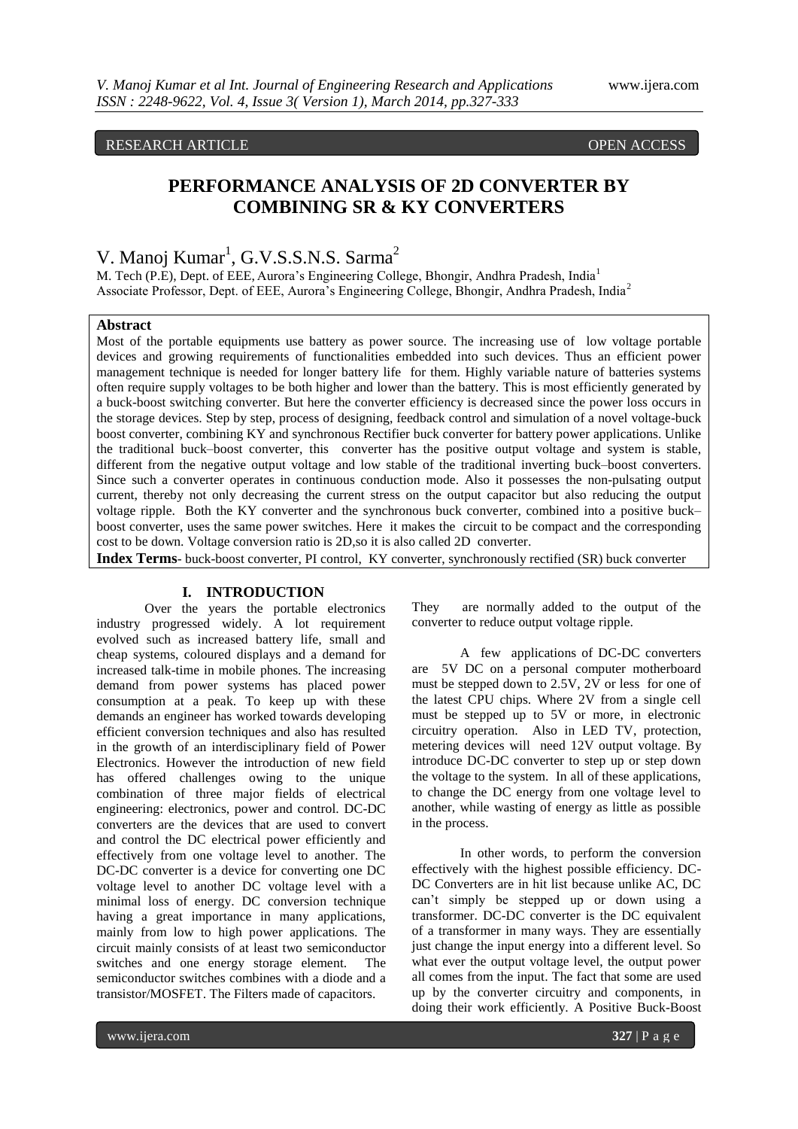## RESEARCH ARTICLE OPEN ACCESS

# **PERFORMANCE ANALYSIS OF 2D CONVERTER BY COMBINING SR & KY CONVERTERS**

# V. Manoj Kumar<sup>1</sup>, G.V.S.S.N.S. Sarma<sup>2</sup>

M. Tech (P.E), Dept. of EEE, Aurora's Engineering College, Bhongir, Andhra Pradesh, India<sup>1</sup> Associate Professor, Dept. of EEE, Aurora's Engineering College, Bhongir, Andhra Pradesh, India<sup>2</sup>

## **Abstract**

Most of the portable equipments use battery as power source. The increasing use of low voltage portable devices and growing requirements of functionalities embedded into such devices. Thus an efficient power management technique is needed for longer battery life for them. Highly variable nature of batteries systems often require supply voltages to be both higher and lower than the battery. This is most efficiently generated by a buck-boost switching converter. But here the converter efficiency is decreased since the power loss occurs in the storage devices. Step by step, process of designing, feedback control and simulation of a novel voltage-buck boost converter, combining KY and synchronous Rectifier buck converter for battery power applications. Unlike the traditional buck–boost converter, this converter has the positive output voltage and system is stable, different from the negative output voltage and low stable of the traditional inverting buck–boost converters. Since such a converter operates in continuous conduction mode. Also it possesses the non-pulsating output current, thereby not only decreasing the current stress on the output capacitor but also reducing the output voltage ripple. Both the KY converter and the synchronous buck converter, combined into a positive buck– boost converter, uses the same power switches. Here it makes the circuit to be compact and the corresponding cost to be down. Voltage conversion ratio is 2D,so it is also called 2D converter.

**Index Terms**- buck-boost converter, PI control, KY converter, synchronously rectified (SR) buck converter

## **I. INTRODUCTION**

Over the years the portable electronics industry progressed widely. A lot requirement evolved such as increased battery life, small and cheap systems, coloured displays and a demand for increased talk-time in mobile phones. The increasing demand from power systems has placed power consumption at a peak. To keep up with these demands an engineer has worked towards developing efficient conversion techniques and also has resulted in the growth of an interdisciplinary field of Power Electronics. However the introduction of new field has offered challenges owing to the unique combination of three major fields of electrical engineering: electronics, power and control. DC-DC converters are the devices that are used to convert and control the DC electrical power efficiently and effectively from one voltage level to another. The DC-DC converter is a device for converting one DC voltage level to another DC voltage level with a minimal loss of energy. DC conversion technique having a great importance in many applications, mainly from low to high power applications. The circuit mainly consists of at least two semiconductor switches and one energy storage element. The semiconductor switches combines with a diode and a transistor/MOSFET. The Filters made of capacitors.

They are normally added to the output of the converter to reduce output voltage ripple.

A few applications of DC-DC converters are 5V DC on a personal computer motherboard must be stepped down to 2.5V, 2V or less for one of the latest CPU chips. Where 2V from a single cell must be stepped up to 5V or more, in electronic circuitry operation. Also in LED TV, protection, metering devices will need 12V output voltage. By introduce DC-DC converter to step up or step down the voltage to the system. In all of these applications, to change the DC energy from one voltage level to another, while wasting of energy as little as possible in the process.

In other words, to perform the conversion effectively with the highest possible efficiency. DC-DC Converters are in hit list because unlike AC, DC can't simply be stepped up or down using a transformer. DC-DC converter is the DC equivalent of a transformer in many ways. They are essentially just change the input energy into a different level. So what ever the output voltage level, the output power all comes from the input. The fact that some are used up by the converter circuitry and components, in doing their work efficiently. A Positive Buck-Boost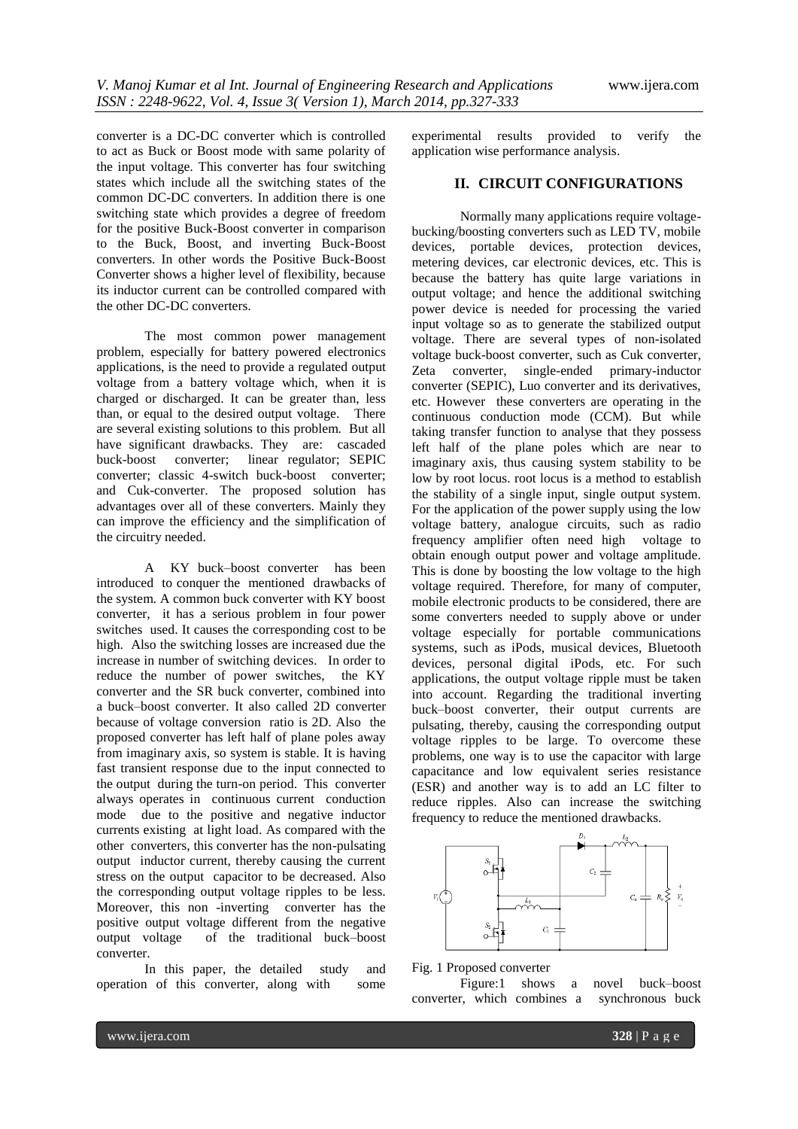converter is a DC-DC converter which is controlled to act as Buck or Boost mode with same polarity of the input voltage. This converter has four switching states which include all the switching states of the common DC-DC converters. In addition there is one switching state which provides a degree of freedom for the positive Buck-Boost converter in comparison to the Buck, Boost, and inverting Buck-Boost converters. In other words the Positive Buck-Boost Converter shows a higher level of flexibility, because its inductor current can be controlled compared with the other DC-DC converters.

The most common power management problem, especially for battery powered electronics applications, is the need to provide a regulated output voltage from a battery voltage which, when it is charged or discharged. It can be greater than, less than, or equal to the desired output voltage. There are several existing solutions to this problem. But all have significant drawbacks. They are: cascaded buck-boost converter; linear regulator; SEPIC converter; classic 4-switch buck-boost converter; and Cuk-converter. The proposed solution has advantages over all of these converters. Mainly they can improve the efficiency and the simplification of the circuitry needed.

A KY buck–boost converter has been introduced to conquer the mentioned drawbacks of the system. A common buck converter with KY boost converter, it has a serious problem in four power switches used. It causes the corresponding cost to be high. Also the switching losses are increased due the increase in number of switching devices. In order to reduce the number of power switches, the KY converter and the SR buck converter, combined into a buck–boost converter. It also called 2D converter because of voltage conversion ratio is 2D. Also the proposed converter has left half of plane poles away from imaginary axis, so system is stable. It is having fast transient response due to the input connected to the output during the turn-on period. This converter always operates in continuous current conduction mode due to the positive and negative inductor currents existing at light load. As compared with the other converters, this converter has the non-pulsating output inductor current, thereby causing the current stress on the output capacitor to be decreased. Also the corresponding output voltage ripples to be less. Moreover, this non -inverting converter has the positive output voltage different from the negative output voltage of the traditional buck–boost converter.

In this paper, the detailed study and operation of this converter, along with some

experimental results provided to verify the application wise performance analysis.

## **II. CIRCUIT CONFIGURATIONS**

Normally many applications require voltagebucking/boosting converters such as LED TV, mobile devices, portable devices, protection devices, metering devices, car electronic devices, etc. This is because the battery has quite large variations in output voltage; and hence the additional switching power device is needed for processing the varied input voltage so as to generate the stabilized output voltage. There are several types of non-isolated voltage buck-boost converter, such as Cuk converter, Zeta converter, single-ended primary-inductor converter (SEPIC), Luo converter and its derivatives, etc. However these converters are operating in the continuous conduction mode (CCM). But while taking transfer function to analyse that they possess left half of the plane poles which are near to imaginary axis, thus causing system stability to be low by root locus. root locus is a method to establish the stability of a single input, single output system. For the application of the power supply using the low voltage battery, analogue circuits, such as radio frequency amplifier often need high voltage to obtain enough output power and voltage amplitude. This is done by boosting the low voltage to the high voltage required. Therefore, for many of computer, mobile electronic products to be considered, there are some converters needed to supply above or under voltage especially for portable communications systems, such as iPods, musical devices, Bluetooth devices, personal digital iPods, etc. For such applications, the output voltage ripple must be taken into account. Regarding the traditional inverting buck–boost converter, their output currents are pulsating, thereby, causing the corresponding output voltage ripples to be large. To overcome these problems, one way is to use the capacitor with large capacitance and low equivalent series resistance (ESR) and another way is to add an LC filter to reduce ripples. Also can increase the switching frequency to reduce the mentioned drawbacks.





Figure:1 shows a novel buck–boost converter, which combines a synchronous buck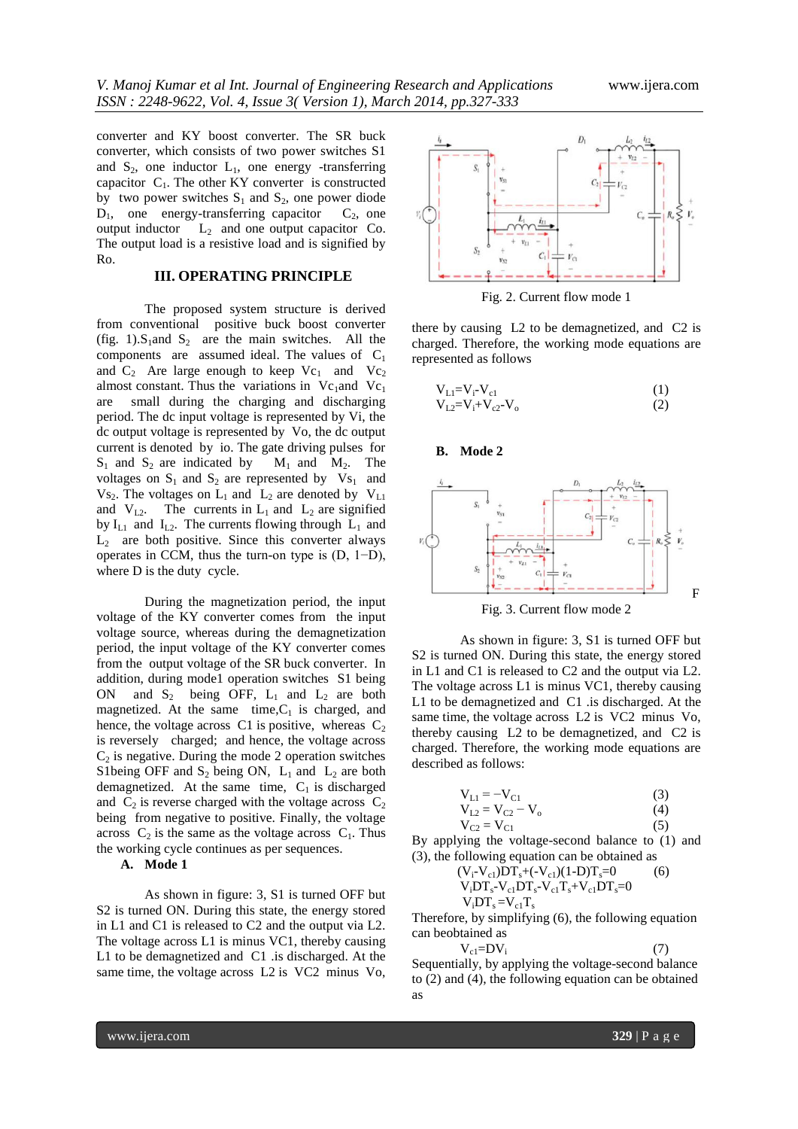converter and KY boost converter. The SR buck converter, which consists of two power switches S1 and  $S_2$ , one inductor  $L_1$ , one energy -transferring capacitor  $C_1$ . The other KY converter is constructed by two power switches  $S_1$  and  $S_2$ , one power diode  $D_1$ , one energy-transferring capacitor  $C_2$ , one output inductor  $L_2$  and one output capacitor Co. The output load is a resistive load and is signified by Ro.

## **III. OPERATING PRINCIPLE**

The proposed system structure is derived from conventional positive buck boost converter (fig. 1). $S_1$ and  $S_2$  are the main switches. All the components are assumed ideal. The values of  $C_1$ and  $C_2$  Are large enough to keep  $Vc_1$  and  $Vc_2$ almost constant. Thus the variations in  $Vc_1$ and  $Vc_1$ are small during the charging and discharging period. The dc input voltage is represented by Vi, the dc output voltage is represented by Vo, the dc output current is denoted by io. The gate driving pulses for  $S_1$  and  $S_2$  are indicated by  $M_1$  and  $M_2$ . The voltages on  $S_1$  and  $S_2$  are represented by  $V_{S_1}$  and  $V_{S_2}$ . The voltages on  $L_1$  and  $L_2$  are denoted by  $V_{L1}$ and  $V_{L2}$ . The currents in  $L_1$  and  $L_2$  are signified by  $I_{L1}$  and  $I_{L2}$ . The currents flowing through  $L_1$  and  $L<sub>2</sub>$  are both positive. Since this converter always operates in CCM, thus the turn-on type is (D, 1−D), where D is the duty cycle.

During the magnetization period, the input voltage of the KY converter comes from the input voltage source, whereas during the demagnetization period, the input voltage of the KY converter comes from the output voltage of the SR buck converter. In addition, during mode1 operation switches S1 being ON and  $S_2$  being OFF,  $L_1$  and  $L_2$  are both magnetized. At the same time, $C_1$  is charged, and hence, the voltage across C1 is positive, whereas  $C_2$ is reversely charged; and hence, the voltage across  $C_2$  is negative. During the mode 2 operation switches S1being OFF and  $S_2$  being ON,  $L_1$  and  $L_2$  are both demagnetized. At the same time,  $C_1$  is discharged and  $C_2$  is reverse charged with the voltage across  $C_2$ being from negative to positive. Finally, the voltage across  $C_2$  is the same as the voltage across  $C_1$ . Thus the working cycle continues as per sequences.

#### **A. Mode 1**

As shown in figure: 3, S1 is turned OFF but S2 is turned ON. During this state, the energy stored in L1 and C1 is released to C2 and the output via L2. The voltage across L1 is minus VC1, thereby causing L1 to be demagnetized and C1 .is discharged. At the same time, the voltage across L2 is VC2 minus Vo,



Fig. 2. Current flow mode 1

there by causing L2 to be demagnetized, and C2 is charged. Therefore, the working mode equations are represented as follows

$$
V_{L1} = V_i - V_{c1}
$$
\n
$$
V_{L2} = V_i + V_{c2} - V_o
$$
\n(1)\n(2)

#### **B. Mode 2**



Fig. 3. Current flow mode 2

As shown in figure: 3, S1 is turned OFF but S2 is turned ON. During this state, the energy stored in L1 and C1 is released to C2 and the output via L2. The voltage across L1 is minus VC1, thereby causing L1 to be demagnetized and C1 .is discharged. At the same time, the voltage across L2 is VC2 minus Vo, thereby causing L2 to be demagnetized, and C2 is charged. Therefore, the working mode equations are described as follows:

$$
V_{L1} = -V_{C1}
$$
\n
$$
V_{L2} = V_{C2} - V_o
$$
\n(3)\n(4)

$$
V_{C2} = V_{C1} \tag{5}
$$

By applying the voltage-second balance to (1) and (3), the following equation can be obtained as

$$
(\mathbf{V}_{i} - \mathbf{V}_{c1})\mathbf{D}\mathbf{T}_{s} + (-\mathbf{V}_{c1})(1 - \mathbf{D})\mathbf{T}_{s} = 0
$$
 (6)  
V<sub>i</sub>
$$
\mathbf{D}\mathbf{T}_{s} - \mathbf{V}_{c1}\mathbf{D}\mathbf{T}_{s} - \mathbf{V}_{c1}\mathbf{T}_{s} + \mathbf{V}_{c1}\mathbf{D}\mathbf{T}_{s} = 0
$$
  
V<sub>i</sub>
$$
\mathbf{D}\mathbf{T}_{s} = \mathbf{V}_{c1}\mathbf{T}_{s}
$$

Therefore, by simplifying (6), the following equation can beobtained as

$$
V_{c1} = DV_i
$$
 (7)

Sequentially, by applying the voltage-second balance to (2) and (4), the following equation can be obtained as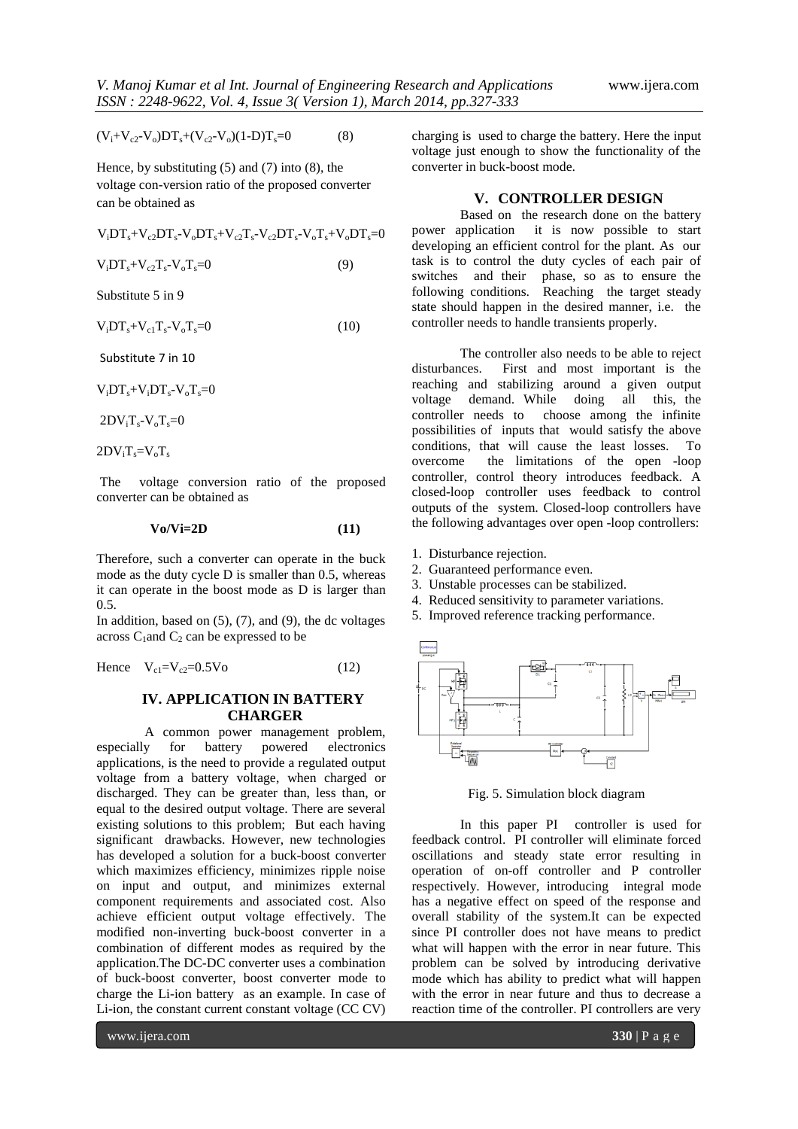$(V_i+V_{c2}-V_o)DT_s+(V_{c2}-V_o)(1-D)T_s=0$  (8)

Hence, by substituting  $(5)$  and  $(7)$  into  $(8)$ , the voltage con-version ratio of the proposed converter can be obtained as

$$
V_iDT_s\!\!+\!V_c_2DT_s\!\!-\!V_oDT_s\!\!+\!V_{c2}T_s\!\!-\!V_{c2}DT_s\!\!-\!V_oT_s\!\!+\!V_oDT_s\!\!=\!\!0
$$

$$
V_i DT_s + V_{c2}T_s - V_oT_s = 0 \tag{9}
$$

Substitute 5 in 9

$$
V_i DT_s + V_{c1}T_s - V_oT_s = 0 \tag{10}
$$

Substitute 7 in 10

 $V_iDT_s+V_iDT_s-V_oT_s=0$ 

$$
2DV_iT_s\text{-}V_oT_s\text{=}0
$$

 $2DV_iT_s=V_0T_s$ 

The voltage conversion ratio of the proposed converter can be obtained as

$$
V_0/Vi=2D \tag{11}
$$

Therefore, such a converter can operate in the buck mode as the duty cycle D is smaller than 0.5, whereas it can operate in the boost mode as D is larger than 0.5.

In addition, based on  $(5)$ ,  $(7)$ , and  $(9)$ , the dc voltages across  $C_1$  and  $C_2$  can be expressed to be

$$
\text{Hence} \quad \mathbf{V}_{\text{c1}} = \mathbf{V}_{\text{c2}} = 0.5 \text{Vo} \tag{12}
$$

## **IV. APPLICATION IN BATTERY CHARGER**

A common power management problem, especially for battery powered electronics applications, is the need to provide a regulated output voltage from a battery voltage, when charged or discharged. They can be greater than, less than, or equal to the desired output voltage. There are several existing solutions to this problem; But each having significant drawbacks. However, new technologies has developed a solution for a buck-boost converter which maximizes efficiency, minimizes ripple noise on input and output, and minimizes external component requirements and associated cost. Also achieve efficient output voltage effectively. The modified non-inverting buck-boost converter in a combination of different modes as required by the application.The DC-DC converter uses a combination of buck-boost converter, boost converter mode to charge the Li-ion battery as an example. In case of Li-ion, the constant current constant voltage (CC CV)

www.ijera.com **330** | P a g e

charging is used to charge the battery. Here the input voltage just enough to show the functionality of the converter in buck-boost mode.

## **V. CONTROLLER DESIGN**

Based on the research done on the battery power application it is now possible to start developing an efficient control for the plant. As our task is to control the duty cycles of each pair of switches and their phase, so as to ensure the following conditions. Reaching the target steady state should happen in the desired manner, i.e. the controller needs to handle transients properly.

The controller also needs to be able to reject disturbances. First and most important is the reaching and stabilizing around a given output voltage demand. While doing all this, the controller needs to choose among the infinite possibilities of inputs that would satisfy the above conditions, that will cause the least losses. To overcome the limitations of the open -loop controller, control theory introduces feedback. A closed-loop controller uses feedback to control outputs of the system. Closed-loop controllers have the following advantages over open -loop controllers:

- 1. Disturbance rejection.
- 2. Guaranteed performance even.
- 3. Unstable processes can be stabilized.
- 4. Reduced sensitivity to parameter variations.
- 5. Improved reference tracking performance.



Fig. 5. Simulation block diagram

In this paper PI controller is used for feedback control. PI controller will eliminate forced oscillations and steady state error resulting in operation of on-off controller and P controller respectively. However, introducing integral mode has a negative effect on speed of the response and overall stability of the system.It can be expected since PI controller does not have means to predict what will happen with the error in near future. This problem can be solved by introducing derivative mode which has ability to predict what will happen with the error in near future and thus to decrease a reaction time of the controller. PI controllers are very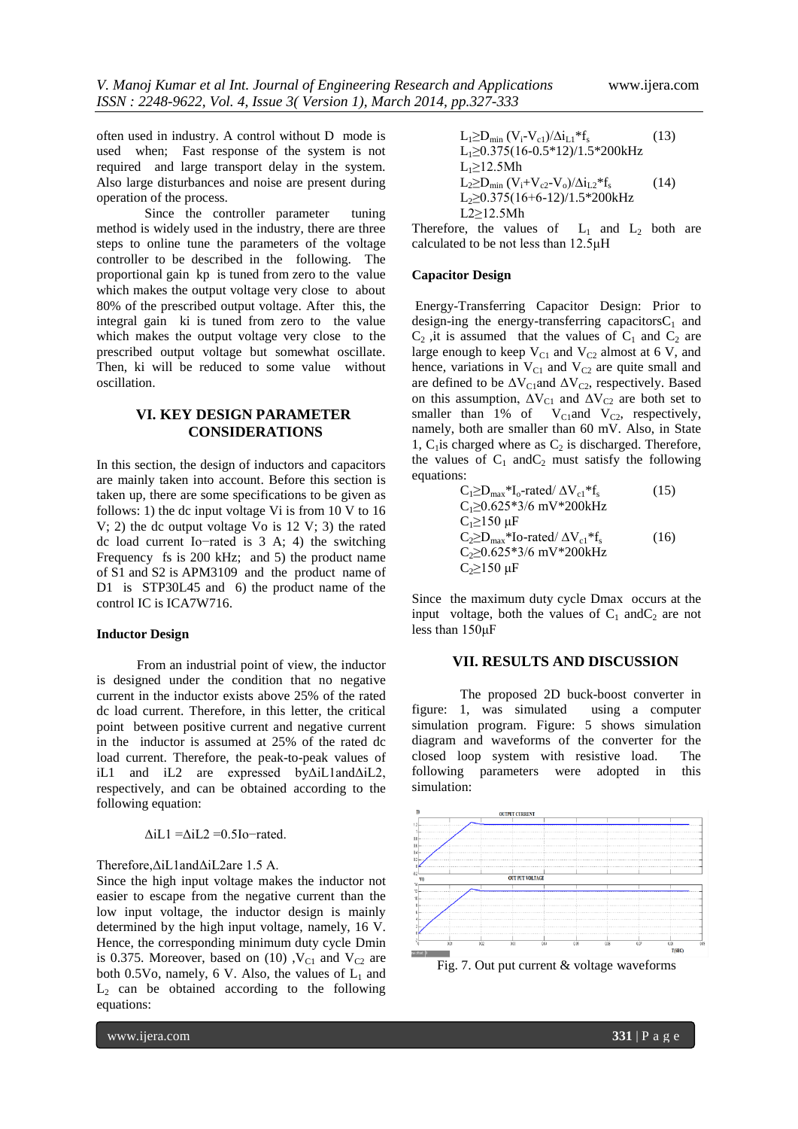often used in industry. A control without D mode is used when; Fast response of the system is not required and large transport delay in the system. Also large disturbances and noise are present during operation of the process.

Since the controller parameter tuning method is widely used in the industry, there are three steps to online tune the parameters of the voltage controller to be described in the following. The proportional gain kp is tuned from zero to the value which makes the output voltage very close to about 80% of the prescribed output voltage. After this, the integral gain ki is tuned from zero to the value which makes the output voltage very close to the prescribed output voltage but somewhat oscillate. Then, ki will be reduced to some value without oscillation.

## **VI. KEY DESIGN PARAMETER CONSIDERATIONS**

In this section, the design of inductors and capacitors are mainly taken into account. Before this section is taken up, there are some specifications to be given as follows: 1) the dc input voltage Vi is from 10 V to 16 V; 2) the dc output voltage Vo is 12 V; 3) the rated dc load current Io−rated is 3 A; 4) the switching Frequency fs is 200 kHz; and 5) the product name of S1 and S2 is APM3109 and the product name of D1 is STP30L45 and 6) the product name of the control IC is ICA7W716.

### **Inductor Design**

 From an industrial point of view, the inductor is designed under the condition that no negative current in the inductor exists above 25% of the rated dc load current. Therefore, in this letter, the critical point between positive current and negative current in the inductor is assumed at 25% of the rated dc load current. Therefore, the peak-to-peak values of iL1 and iL2 are expressed byΔiL1andΔiL2, respectively, and can be obtained according to the following equation:

 $\Delta$ iL1 = $\Delta$ iL2 =0.5Io-rated.

### Therefore,ΔiL1andΔiL2are 1.5 A.

Since the high input voltage makes the inductor not easier to escape from the negative current than the low input voltage, the inductor design is mainly determined by the high input voltage, namely, 16 V. Hence, the corresponding minimum duty cycle Dmin is 0.375. Moreover, based on (10),  $V_{C1}$  and  $V_{C2}$  are both 0.5Vo, namely, 6 V. Also, the values of  $L_1$  and  $L_2$  can be obtained according to the following equations:

$$
L_1 \geq D_{\min} (V_i - V_{c1}) / \Delta i_{L1} * f_s
$$
\n
$$
L_1 \geq 0.375 (16 - 0.5 * 12) / 1.5 * 200kHz
$$
\n
$$
L_1 \geq 12.5 Mh
$$
\n
$$
L_2 \geq D_{\min} (V_i + V_{c2} - V_o) / \Delta i_{L2} * f_s
$$
\n
$$
L_2 \geq 0.375 (16 + 6 - 12) / 1.5 * 200kHz
$$
\n
$$
L_2 \geq 12.5 Mh
$$
\n(14)

Therefore, the values of  $L_1$  and  $L_2$  both are calculated to be not less than 12.5μH

## **Capacitor Design**

Energy-Transferring Capacitor Design: Prior to design-ing the energy-transferring capacitors $C_1$  and  $C_2$ , it is assumed that the values of  $C_1$  and  $C_2$  are large enough to keep  $V_{C1}$  and  $V_{C2}$  almost at 6 V, and hence, variations in  $V_{C1}$  and  $V_{C2}$  are quite small and are defined to be  $\Delta V_{C1}$  and  $\Delta V_{C2}$ , respectively. Based on this assumption,  $\Delta V_{C1}$  and  $\Delta V_{C2}$  are both set to smaller than 1% of  $V_{C1}$ and  $V_{C2}$ , respectively, namely, both are smaller than 60 mV. Also, in State 1,  $C_1$ is charged where as  $C_2$  is discharged. Therefore, the values of  $C_1$  and  $C_2$  must satisfy the following equations:

C<sub>1</sub> \ge D<sub>max</sub>\*I<sub>o</sub>-rated/
$$
\Delta V_{c1} * f_s
$$
 (15)  
C<sub>1</sub> \ge 0.625\*3/6 mV\*200kHz  
C<sub>1</sub> \ge 150 µF  
C<sub>2</sub> \ge D<sub>max</sub>\*Io-rated/ $\Delta V_{c1} * f_s$  (16)  
C<sub>2</sub> \ge 0.625\*3/6 mV\*200kHz  
C<sub>2</sub> \ge 150 µF

Since the maximum duty cycle Dmax occurs at the input voltage, both the values of  $C_1$  and  $C_2$  are not less than 150μF

### **VII. RESULTS AND DISCUSSION**

The proposed 2D buck-boost converter in figure: 1, was simulated using a computer simulation program. Figure: 5 shows simulation diagram and waveforms of the converter for the closed loop system with resistive load. The following parameters were adopted in this simulation:



Fig. 7. Out put current & voltage waveforms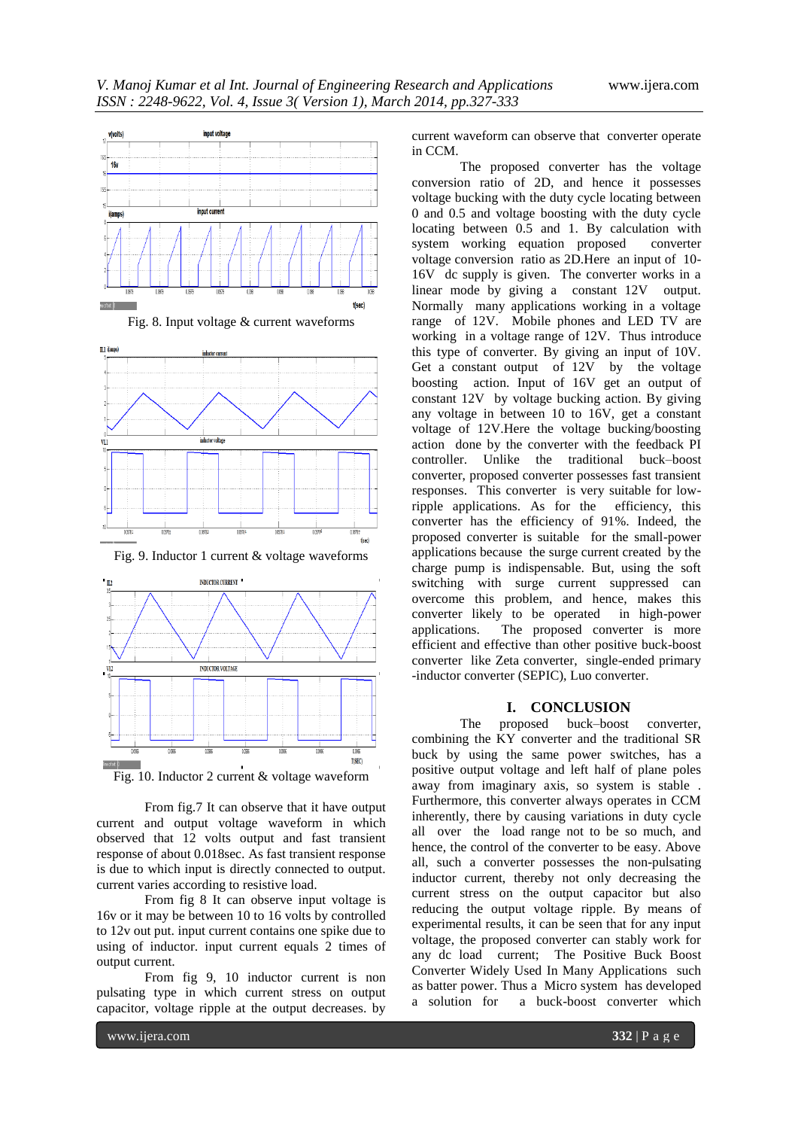

Fig. 8. Input voltage & current waveforms



Fig. 9. Inductor 1 current & voltage waveforms



From fig.7 It can observe that it have output current and output voltage waveform in which observed that 12 volts output and fast transient response of about 0.018sec. As fast transient response is due to which input is directly connected to output. current varies according to resistive load.

From fig 8 It can observe input voltage is 16v or it may be between 10 to 16 volts by controlled to 12v out put. input current contains one spike due to using of inductor. input current equals 2 times of output current.

From fig 9, 10 inductor current is non pulsating type in which current stress on output capacitor, voltage ripple at the output decreases. by

current waveform can observe that converter operate in CCM.

The proposed converter has the voltage conversion ratio of 2D, and hence it possesses voltage bucking with the duty cycle locating between 0 and 0.5 and voltage boosting with the duty cycle locating between 0.5 and 1. By calculation with system working equation proposed converter voltage conversion ratio as 2D.Here an input of 10- 16V dc supply is given. The converter works in a linear mode by giving a constant 12V output. Normally many applications working in a voltage range of 12V. Mobile phones and LED TV are working in a voltage range of 12V. Thus introduce this type of converter. By giving an input of 10V. Get a constant output of 12V by the voltage boosting action. Input of 16V get an output of constant 12V by voltage bucking action. By giving any voltage in between 10 to 16V, get a constant voltage of 12V.Here the voltage bucking/boosting action done by the converter with the feedback PI controller. Unlike the traditional buck–boost converter, proposed converter possesses fast transient responses. This converter is very suitable for lowripple applications. As for the efficiency, this converter has the efficiency of 91%. Indeed, the proposed converter is suitable for the small-power applications because the surge current created by the charge pump is indispensable. But, using the soft switching with surge current suppressed can overcome this problem, and hence, makes this converter likely to be operated in high-power applications. The proposed converter is more efficient and effective than other positive buck-boost converter like Zeta converter, single-ended primary -inductor converter (SEPIC), Luo converter.

## **I. CONCLUSION**

The proposed buck–boost converter, combining the KY converter and the traditional SR buck by using the same power switches, has a positive output voltage and left half of plane poles away from imaginary axis, so system is stable . Furthermore, this converter always operates in CCM inherently, there by causing variations in duty cycle all over the load range not to be so much, and hence, the control of the converter to be easy. Above all, such a converter possesses the non-pulsating inductor current, thereby not only decreasing the current stress on the output capacitor but also reducing the output voltage ripple. By means of experimental results, it can be seen that for any input voltage, the proposed converter can stably work for any dc load current; The Positive Buck Boost Converter Widely Used In Many Applications such as batter power. Thus a Micro system has developed a solution for a buck-boost converter which